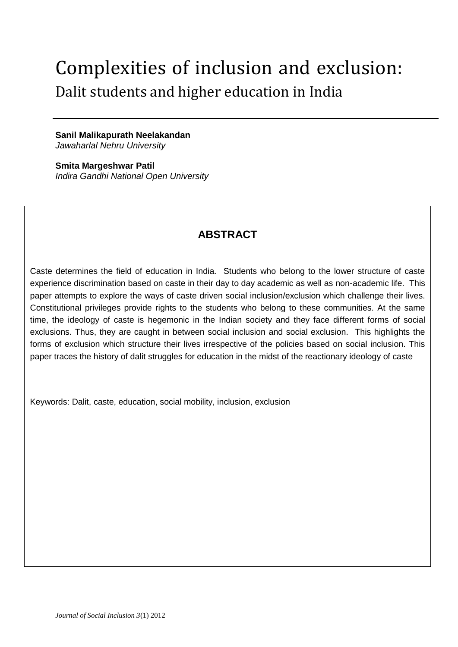# Complexities of inclusion and exclusion: Dalit students and higher education in India

**Sanil Malikapurath Neelakandan** *Jawaharlal Nehru University* 

**Smita Margeshwar Patil** *Indira Gandhi National Open University*

# **ABSTRACT**

Caste determines the field of education in India. Students who belong to the lower structure of caste experience discrimination based on caste in their day to day academic as well as non-academic life. This paper attempts to explore the ways of caste driven social inclusion/exclusion which challenge their lives. Constitutional privileges provide rights to the students who belong to these communities. At the same time, the ideology of caste is hegemonic in the Indian society and they face different forms of social exclusions. Thus, they are caught in between social inclusion and social exclusion. This highlights the forms of exclusion which structure their lives irrespective of the policies based on social inclusion. This paper traces the history of dalit struggles for education in the midst of the reactionary ideology of caste

Keywords: Dalit, caste, education, social mobility, inclusion, exclusion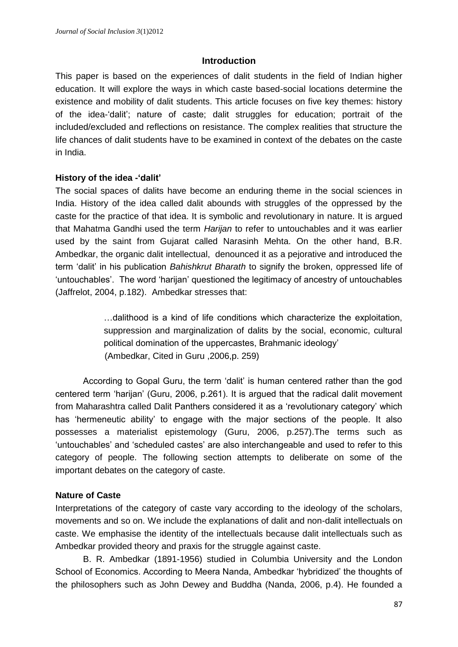### **Introduction**

This paper is based on the experiences of dalit students in the field of Indian higher education. It will explore the ways in which caste based-social locations determine the existence and mobility of dalit students. This article focuses on five key themes: history of the idea-'dalit'; nature of caste; dalit struggles for education; portrait of the included/excluded and reflections on resistance. The complex realities that structure the life chances of dalit students have to be examined in context of the debates on the caste in India.

# **History of the idea -'dalit'**

The social spaces of dalits have become an enduring theme in the social sciences in India. History of the idea called dalit abounds with struggles of the oppressed by the caste for the practice of that idea. It is symbolic and revolutionary in nature. It is argued that Mahatma Gandhi used the term *Harijan* to refer to untouchables and it was earlier used by the saint from Gujarat called Narasinh Mehta. On the other hand, B.R. Ambedkar, the organic dalit intellectual, denounced it as a pejorative and introduced the term 'dalit' in his publication *Bahishkrut Bharath* to signify the broken, oppressed life of 'untouchables'. The word 'harijan' questioned the legitimacy of ancestry of untouchables (Jaffrelot, 2004, p.182). Ambedkar stresses that:

> …dalithood is a kind of life conditions which characterize the exploitation, suppression and marginalization of dalits by the social, economic, cultural political domination of the uppercastes, Brahmanic ideology' (Ambedkar, Cited in Guru ,2006,p. 259)

According to Gopal Guru, the term 'dalit' is human centered rather than the god centered term 'harijan' (Guru, 2006, p.261). It is argued that the radical dalit movement from Maharashtra called Dalit Panthers considered it as a 'revolutionary category' which has 'hermeneutic ability' to engage with the major sections of the people. It also possesses a materialist epistemology (Guru, 2006, p.257).The terms such as 'untouchables' and 'scheduled castes' are also interchangeable and used to refer to this category of people. The following section attempts to deliberate on some of the important debates on the category of caste.

# **Nature of Caste**

Interpretations of the category of caste vary according to the ideology of the scholars, movements and so on. We include the explanations of dalit and non-dalit intellectuals on caste. We emphasise the identity of the intellectuals because dalit intellectuals such as Ambedkar provided theory and praxis for the struggle against caste.

B. R. Ambedkar (1891-1956) studied in Columbia University and the London School of Economics. According to Meera Nanda, Ambedkar 'hybridized' the thoughts of the philosophers such as John Dewey and Buddha (Nanda, 2006, p.4). He founded a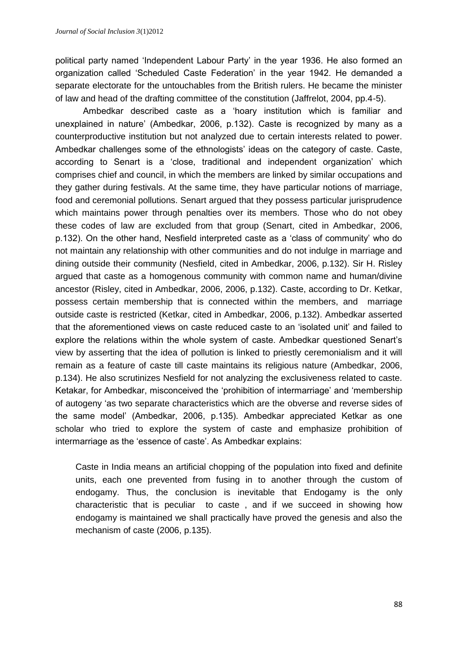political party named 'Independent Labour Party' in the year 1936. He also formed an organization called 'Scheduled Caste Federation' in the year 1942. He demanded a separate electorate for the untouchables from the British rulers. He became the minister of law and head of the drafting committee of the constitution (Jaffrelot, 2004, pp.4-5).

Ambedkar described caste as a 'hoary institution which is familiar and unexplained in nature' (Ambedkar, 2006, p.132). Caste is recognized by many as a counterproductive institution but not analyzed due to certain interests related to power. Ambedkar challenges some of the ethnologists' ideas on the category of caste. Caste, according to Senart is a 'close, traditional and independent organization' which comprises chief and council, in which the members are linked by similar occupations and they gather during festivals. At the same time, they have particular notions of marriage, food and ceremonial pollutions. Senart argued that they possess particular jurisprudence which maintains power through penalties over its members. Those who do not obey these codes of law are excluded from that group (Senart, cited in Ambedkar, 2006, p.132). On the other hand, Nesfield interpreted caste as a 'class of community' who do not maintain any relationship with other communities and do not indulge in marriage and dining outside their community (Nesfield, cited in Ambedkar, 2006, p.132). Sir H. Risley argued that caste as a homogenous community with common name and human/divine ancestor (Risley, cited in Ambedkar, 2006, 2006, p.132). Caste, according to Dr. Ketkar, possess certain membership that is connected within the members, and marriage outside caste is restricted (Ketkar, cited in Ambedkar, 2006, p.132). Ambedkar asserted that the aforementioned views on caste reduced caste to an 'isolated unit' and failed to explore the relations within the whole system of caste. Ambedkar questioned Senart's view by asserting that the idea of pollution is linked to priestly ceremonialism and it will remain as a feature of caste till caste maintains its religious nature (Ambedkar, 2006, p.134). He also scrutinizes Nesfield for not analyzing the exclusiveness related to caste. Ketakar, for Ambedkar, misconceived the 'prohibition of intermarriage' and 'membership of autogeny 'as two separate characteristics which are the obverse and reverse sides of the same model' (Ambedkar, 2006, p.135). Ambedkar appreciated Ketkar as one scholar who tried to explore the system of caste and emphasize prohibition of intermarriage as the 'essence of caste'. As Ambedkar explains:

Caste in India means an artificial chopping of the population into fixed and definite units, each one prevented from fusing in to another through the custom of endogamy. Thus, the conclusion is inevitable that Endogamy is the only characteristic that is peculiar to caste , and if we succeed in showing how endogamy is maintained we shall practically have proved the genesis and also the mechanism of caste (2006, p.135).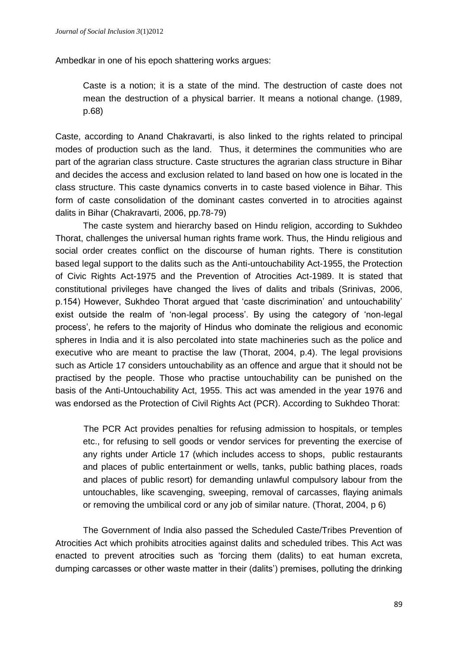Ambedkar in one of his epoch shattering works argues:

Caste is a notion; it is a state of the mind. The destruction of caste does not mean the destruction of a physical barrier. It means a notional change. (1989, p.68)

Caste, according to Anand Chakravarti, is also linked to the rights related to principal modes of production such as the land. Thus, it determines the communities who are part of the agrarian class structure. Caste structures the agrarian class structure in Bihar and decides the access and exclusion related to land based on how one is located in the class structure. This caste dynamics converts in to caste based violence in Bihar. This form of caste consolidation of the dominant castes converted in to atrocities against dalits in Bihar (Chakravarti, 2006, pp.78-79)

The caste system and hierarchy based on Hindu religion, according to Sukhdeo Thorat, challenges the universal human rights frame work. Thus, the Hindu religious and social order creates conflict on the discourse of human rights. There is constitution based legal support to the dalits such as the Anti-untouchability Act-1955, the Protection of Civic Rights Act-1975 and the Prevention of Atrocities Act-1989. It is stated that constitutional privileges have changed the lives of dalits and tribals (Srinivas, 2006, p.154) However, Sukhdeo Thorat argued that 'caste discrimination' and untouchability' exist outside the realm of 'non-legal process'. By using the category of 'non-legal process', he refers to the majority of Hindus who dominate the religious and economic spheres in India and it is also percolated into state machineries such as the police and executive who are meant to practise the law (Thorat, 2004, p.4). The legal provisions such as Article 17 considers untouchability as an offence and argue that it should not be practised by the people. Those who practise untouchability can be punished on the basis of the Anti-Untouchability Act, 1955. This act was amended in the year 1976 and was endorsed as the Protection of Civil Rights Act (PCR). According to Sukhdeo Thorat:

The PCR Act provides penalties for refusing admission to hospitals, or temples etc., for refusing to sell goods or vendor services for preventing the exercise of any rights under Article 17 (which includes access to shops, public restaurants and places of public entertainment or wells, tanks, public bathing places, roads and places of public resort) for demanding unlawful compulsory labour from the untouchables, like scavenging, sweeping, removal of carcasses, flaying animals or removing the umbilical cord or any job of similar nature. (Thorat, 2004, p 6)

The Government of India also passed the Scheduled Caste/Tribes Prevention of Atrocities Act which prohibits atrocities against dalits and scheduled tribes. This Act was enacted to prevent atrocities such as 'forcing them (dalits) to eat human excreta, dumping carcasses or other waste matter in their (dalits') premises, polluting the drinking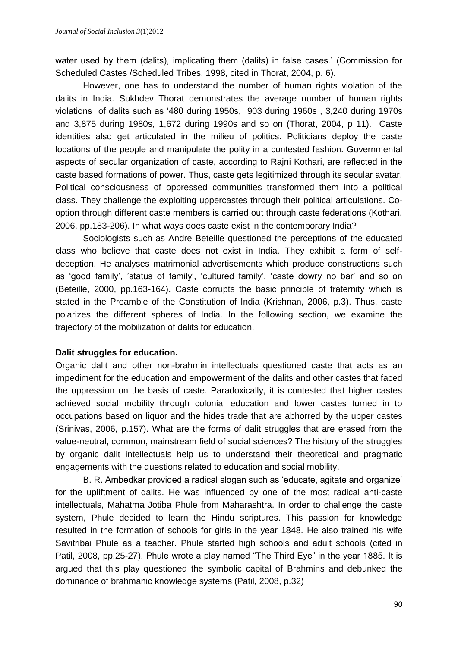water used by them (dalits), implicating them (dalits) in false cases.' (Commission for Scheduled Castes /Scheduled Tribes, 1998, cited in Thorat, 2004, p. 6).

However, one has to understand the number of human rights violation of the dalits in India. Sukhdev Thorat demonstrates the average number of human rights violations of dalits such as '480 during 1950s, 903 during 1960s , 3,240 during 1970s and 3,875 during 1980s, 1,672 during 1990s and so on (Thorat, 2004, p 11). Caste identities also get articulated in the milieu of politics. Politicians deploy the caste locations of the people and manipulate the polity in a contested fashion. Governmental aspects of secular organization of caste, according to Rajni Kothari, are reflected in the caste based formations of power. Thus, caste gets legitimized through its secular avatar. Political consciousness of oppressed communities transformed them into a political class. They challenge the exploiting uppercastes through their political articulations. Cooption through different caste members is carried out through caste federations (Kothari, 2006, pp.183-206). In what ways does caste exist in the contemporary India?

Sociologists such as Andre Beteille questioned the perceptions of the educated class who believe that caste does not exist in India. They exhibit a form of selfdeception. He analyses matrimonial advertisements which produce constructions such as 'good family', 'status of family', 'cultured family', 'caste dowry no bar' and so on (Beteille, 2000, pp.163-164). Caste corrupts the basic principle of fraternity which is stated in the Preamble of the Constitution of India (Krishnan, 2006, p.3). Thus, caste polarizes the different spheres of India. In the following section, we examine the trajectory of the mobilization of dalits for education.

#### **Dalit struggles for education.**

Organic dalit and other non-brahmin intellectuals questioned caste that acts as an impediment for the education and empowerment of the dalits and other castes that faced the oppression on the basis of caste. Paradoxically, it is contested that higher castes achieved social mobility through colonial education and lower castes turned in to occupations based on liquor and the hides trade that are abhorred by the upper castes (Srinivas, 2006, p.157). What are the forms of dalit struggles that are erased from the value-neutral, common, mainstream field of social sciences? The history of the struggles by organic dalit intellectuals help us to understand their theoretical and pragmatic engagements with the questions related to education and social mobility.

B. R. Ambedkar provided a radical slogan such as 'educate, agitate and organize' for the upliftment of dalits. He was influenced by one of the most radical anti-caste intellectuals, Mahatma Jotiba Phule from Maharashtra. In order to challenge the caste system, Phule decided to learn the Hindu scriptures. This passion for knowledge resulted in the formation of schools for girls in the year 1848. He also trained his wife Savitribai Phule as a teacher. Phule started high schools and adult schools (cited in Patil, 2008, pp.25-27). Phule wrote a play named "The Third Eye" in the year 1885. It is argued that this play questioned the symbolic capital of Brahmins and debunked the dominance of brahmanic knowledge systems (Patil, 2008, p.32)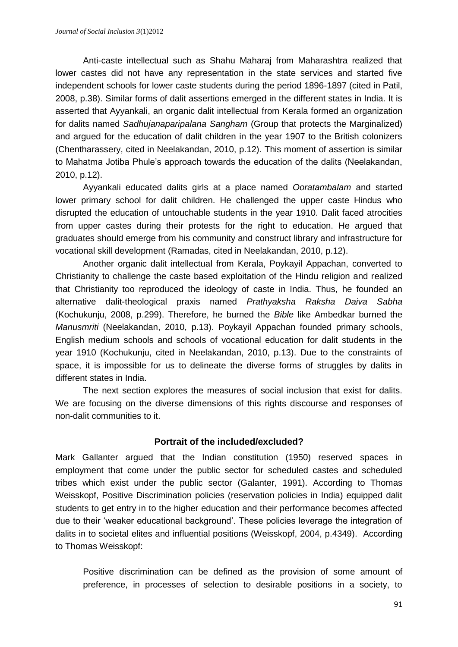Anti-caste intellectual such as Shahu Maharaj from Maharashtra realized that lower castes did not have any representation in the state services and started five independent schools for lower caste students during the period 1896-1897 (cited in Patil, 2008, p.38). Similar forms of dalit assertions emerged in the different states in India. It is asserted that Ayyankali, an organic dalit intellectual from Kerala formed an organization for dalits named *Sadhujanaparipalana Sangham* (Group that protects the Marginalized) and argued for the education of dalit children in the year 1907 to the British colonizers (Chentharassery, cited in Neelakandan, 2010, p.12). This moment of assertion is similar to Mahatma Jotiba Phule's approach towards the education of the dalits (Neelakandan, 2010, p.12).

Ayyankali educated dalits girls at a place named *Ooratambalam* and started lower primary school for dalit children. He challenged the upper caste Hindus who disrupted the education of untouchable students in the year 1910. Dalit faced atrocities from upper castes during their protests for the right to education. He argued that graduates should emerge from his community and construct library and infrastructure for vocational skill development (Ramadas, cited in Neelakandan, 2010, p.12).

Another organic dalit intellectual from Kerala, Poykayil Appachan, converted to Christianity to challenge the caste based exploitation of the Hindu religion and realized that Christianity too reproduced the ideology of caste in India. Thus, he founded an alternative dalit-theological praxis named *Prathyaksha Raksha Daiva Sabha*  (Kochukunju, 2008, p.299). Therefore, he burned the *Bible* like Ambedkar burned the *Manusmriti* (Neelakandan, 2010, p.13). Poykayil Appachan founded primary schools, English medium schools and schools of vocational education for dalit students in the year 1910 (Kochukunju, cited in Neelakandan, 2010, p.13). Due to the constraints of space, it is impossible for us to delineate the diverse forms of struggles by dalits in different states in India.

The next section explores the measures of social inclusion that exist for dalits. We are focusing on the diverse dimensions of this rights discourse and responses of non-dalit communities to it.

# **Portrait of the included/excluded?**

Mark Gallanter argued that the Indian constitution (1950) reserved spaces in employment that come under the public sector for scheduled castes and scheduled tribes which exist under the public sector (Galanter, 1991). According to Thomas Weisskopf, Positive Discrimination policies (reservation policies in India) equipped dalit students to get entry in to the higher education and their performance becomes affected due to their 'weaker educational background'. These policies leverage the integration of dalits in to societal elites and influential positions (Weisskopf, 2004, p.4349). According to Thomas Weisskopf:

Positive discrimination can be defined as the provision of some amount of preference, in processes of selection to desirable positions in a society, to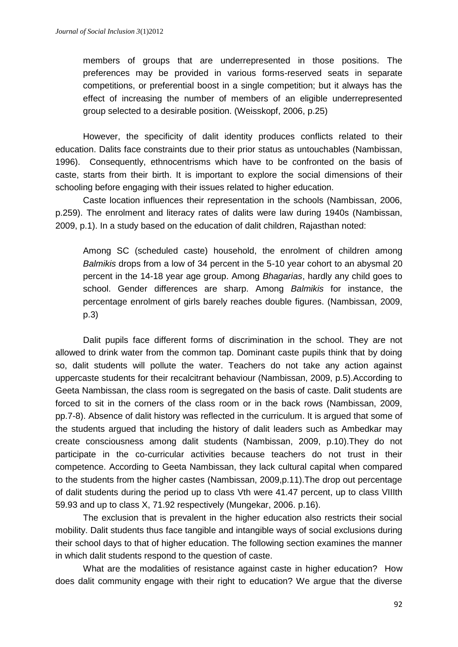members of groups that are underrepresented in those positions. The preferences may be provided in various forms-reserved seats in separate competitions, or preferential boost in a single competition; but it always has the effect of increasing the number of members of an eligible underrepresented group selected to a desirable position. (Weisskopf, 2006, p.25)

However, the specificity of dalit identity produces conflicts related to their education. Dalits face constraints due to their prior status as untouchables (Nambissan, 1996). Consequently, ethnocentrisms which have to be confronted on the basis of caste, starts from their birth. It is important to explore the social dimensions of their schooling before engaging with their issues related to higher education.

Caste location influences their representation in the schools (Nambissan, 2006, p.259). The enrolment and literacy rates of dalits were law during 1940s (Nambissan, 2009, p.1). In a study based on the education of dalit children, Rajasthan noted:

Among SC (scheduled caste) household, the enrolment of children among *Balmikis* drops from a low of 34 percent in the 5-10 year cohort to an abysmal 20 percent in the 14-18 year age group. Among *Bhagarias*, hardly any child goes to school. Gender differences are sharp. Among *Balmikis* for instance, the percentage enrolment of girls barely reaches double figures. (Nambissan, 2009, p.3)

Dalit pupils face different forms of discrimination in the school. They are not allowed to drink water from the common tap. Dominant caste pupils think that by doing so, dalit students will pollute the water. Teachers do not take any action against uppercaste students for their recalcitrant behaviour (Nambissan, 2009, p.5).According to Geeta Nambissan, the class room is segregated on the basis of caste. Dalit students are forced to sit in the corners of the class room or in the back rows (Nambissan, 2009, pp.7-8). Absence of dalit history was reflected in the curriculum. It is argued that some of the students argued that including the history of dalit leaders such as Ambedkar may create consciousness among dalit students (Nambissan, 2009, p.10).They do not participate in the co-curricular activities because teachers do not trust in their competence. According to Geeta Nambissan, they lack cultural capital when compared to the students from the higher castes (Nambissan, 2009,p.11).The drop out percentage of dalit students during the period up to class Vth were 41.47 percent, up to class VIIIth 59.93 and up to class X, 71.92 respectively (Mungekar, 2006. p.16).

The exclusion that is prevalent in the higher education also restricts their social mobility. Dalit students thus face tangible and intangible ways of social exclusions during their school days to that of higher education. The following section examines the manner in which dalit students respond to the question of caste.

What are the modalities of resistance against caste in higher education? How does dalit community engage with their right to education? We argue that the diverse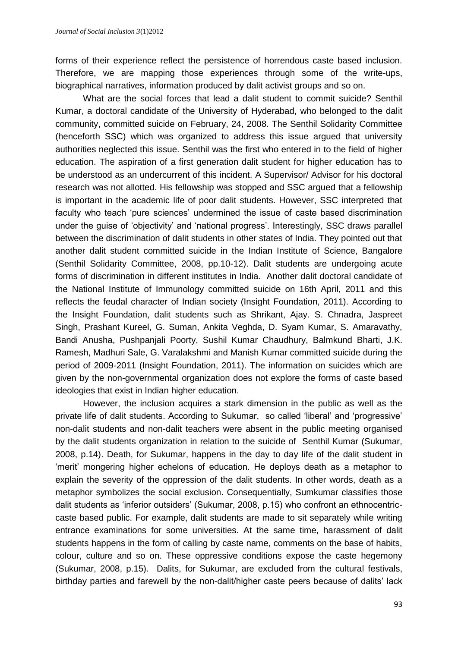forms of their experience reflect the persistence of horrendous caste based inclusion. Therefore, we are mapping those experiences through some of the write-ups, biographical narratives, information produced by dalit activist groups and so on.

What are the social forces that lead a dalit student to commit suicide? Senthil Kumar, a doctoral candidate of the University of Hyderabad, who belonged to the dalit community, committed suicide on February, 24, 2008. The Senthil Solidarity Committee (henceforth SSC) which was organized to address this issue argued that university authorities neglected this issue. Senthil was the first who entered in to the field of higher education. The aspiration of a first generation dalit student for higher education has to be understood as an undercurrent of this incident. A Supervisor/ Advisor for his doctoral research was not allotted. His fellowship was stopped and SSC argued that a fellowship is important in the academic life of poor dalit students. However, SSC interpreted that faculty who teach 'pure sciences' undermined the issue of caste based discrimination under the guise of 'objectivity' and 'national progress'. Interestingly, SSC draws parallel between the discrimination of dalit students in other states of India. They pointed out that another dalit student committed suicide in the Indian Institute of Science, Bangalore (Senthil Solidarity Committee, 2008, pp.10-12). Dalit students are undergoing acute forms of discrimination in different institutes in India. Another dalit doctoral candidate of the National Institute of Immunology committed suicide on 16th April, 2011 and this reflects the feudal character of Indian society (Insight Foundation, 2011). According to the Insight Foundation, dalit students such as Shrikant, Ajay. S. Chnadra, Jaspreet Singh, Prashant Kureel, G. Suman, Ankita Veghda, D. Syam Kumar, S. Amaravathy, Bandi Anusha, Pushpanjali Poorty, Sushil Kumar Chaudhury, Balmkund Bharti, J.K. Ramesh, Madhuri Sale, G. Varalakshmi and Manish Kumar committed suicide during the period of 2009-2011 (Insight Foundation, 2011). The information on suicides which are given by the non-governmental organization does not explore the forms of caste based ideologies that exist in Indian higher education.

However, the inclusion acquires a stark dimension in the public as well as the private life of dalit students. According to Sukumar, so called 'liberal' and 'progressive' non-dalit students and non-dalit teachers were absent in the public meeting organised by the dalit students organization in relation to the suicide of Senthil Kumar (Sukumar, 2008, p.14). Death, for Sukumar, happens in the day to day life of the dalit student in 'merit' mongering higher echelons of education. He deploys death as a metaphor to explain the severity of the oppression of the dalit students. In other words, death as a metaphor symbolizes the social exclusion. Consequentially, Sumkumar classifies those dalit students as 'inferior outsiders' (Sukumar, 2008, p.15) who confront an ethnocentriccaste based public. For example, dalit students are made to sit separately while writing entrance examinations for some universities. At the same time, harassment of dalit students happens in the form of calling by caste name, comments on the base of habits, colour, culture and so on. These oppressive conditions expose the caste hegemony (Sukumar, 2008, p.15). Dalits, for Sukumar, are excluded from the cultural festivals, birthday parties and farewell by the non-dalit/higher caste peers because of dalits' lack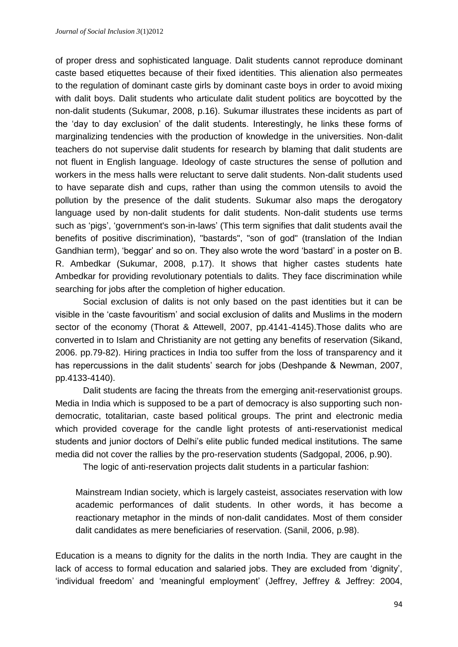of proper dress and sophisticated language. Dalit students cannot reproduce dominant caste based etiquettes because of their fixed identities. This alienation also permeates to the regulation of dominant caste girls by dominant caste boys in order to avoid mixing with dalit boys. Dalit students who articulate dalit student politics are boycotted by the non-dalit students (Sukumar, 2008, p.16). Sukumar illustrates these incidents as part of the 'day to day exclusion' of the dalit students. Interestingly, he links these forms of marginalizing tendencies with the production of knowledge in the universities. Non-dalit teachers do not supervise dalit students for research by blaming that dalit students are not fluent in English language. Ideology of caste structures the sense of pollution and workers in the mess halls were reluctant to serve dalit students. Non-dalit students used to have separate dish and cups, rather than using the common utensils to avoid the pollution by the presence of the dalit students. Sukumar also maps the derogatory language used by non-dalit students for dalit students. Non-dalit students use terms such as 'pigs', 'government's son-in-laws' (This term signifies that dalit students avail the benefits of positive discrimination), "bastards", "son of god" (translation of the Indian Gandhian term), 'beggar' and so on. They also wrote the word 'bastard' in a poster on B. R. Ambedkar (Sukumar, 2008, p.17). It shows that higher castes students hate Ambedkar for providing revolutionary potentials to dalits. They face discrimination while searching for jobs after the completion of higher education.

Social exclusion of dalits is not only based on the past identities but it can be visible in the 'caste favouritism' and social exclusion of dalits and Muslims in the modern sector of the economy (Thorat & Attewell, 2007, pp.4141-4145).Those dalits who are converted in to Islam and Christianity are not getting any benefits of reservation (Sikand, 2006. pp.79-82). Hiring practices in India too suffer from the loss of transparency and it has repercussions in the dalit students' search for jobs (Deshpande & Newman, 2007, pp.4133-4140).

Dalit students are facing the threats from the emerging anit-reservationist groups. Media in India which is supposed to be a part of democracy is also supporting such nondemocratic, totalitarian, caste based political groups. The print and electronic media which provided coverage for the candle light protests of anti-reservationist medical students and junior doctors of Delhi's elite public funded medical institutions. The same media did not cover the rallies by the pro-reservation students (Sadgopal, 2006, p.90).

The logic of anti-reservation projects dalit students in a particular fashion:

Mainstream Indian society, which is largely casteist, associates reservation with low academic performances of dalit students. In other words, it has become a reactionary metaphor in the minds of non-dalit candidates. Most of them consider dalit candidates as mere beneficiaries of reservation. (Sanil, 2006, p.98).

Education is a means to dignity for the dalits in the north India. They are caught in the lack of access to formal education and salaried jobs. They are excluded from 'dignity', 'individual freedom' and 'meaningful employment' (Jeffrey, Jeffrey & Jeffrey: 2004,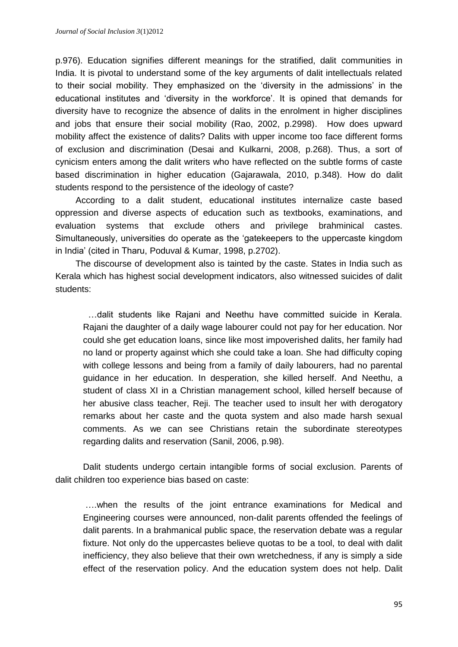p.976). Education signifies different meanings for the stratified, dalit communities in India. It is pivotal to understand some of the key arguments of dalit intellectuals related to their social mobility. They emphasized on the 'diversity in the admissions' in the educational institutes and 'diversity in the workforce'. It is opined that demands for diversity have to recognize the absence of dalits in the enrolment in higher disciplines and jobs that ensure their social mobility (Rao, 2002, p.2998). How does upward mobility affect the existence of dalits? Dalits with upper income too face different forms of exclusion and discrimination (Desai and Kulkarni, 2008, p.268). Thus, a sort of cynicism enters among the dalit writers who have reflected on the subtle forms of caste based discrimination in higher education (Gajarawala, 2010, p.348). How do dalit students respond to the persistence of the ideology of caste?

According to a dalit student, educational institutes internalize caste based oppression and diverse aspects of education such as textbooks, examinations, and evaluation systems that exclude others and privilege brahminical castes. Simultaneously, universities do operate as the 'gatekeepers to the uppercaste kingdom in India' (cited in Tharu, Poduval & Kumar, 1998, p.2702).

The discourse of development also is tainted by the caste. States in India such as Kerala which has highest social development indicators, also witnessed suicides of dalit students:

…dalit students like Rajani and Neethu have committed suicide in Kerala. Rajani the daughter of a daily wage labourer could not pay for her education. Nor could she get education loans, since like most impoverished dalits, her family had no land or property against which she could take a loan. She had difficulty coping with college lessons and being from a family of daily labourers, had no parental guidance in her education. In desperation, she killed herself. And Neethu, a student of class XI in a Christian management school, killed herself because of her abusive class teacher, Reji. The teacher used to insult her with derogatory remarks about her caste and the quota system and also made harsh sexual comments. As we can see Christians retain the subordinate stereotypes regarding dalits and reservation (Sanil, 2006, p.98).

Dalit students undergo certain intangible forms of social exclusion. Parents of dalit children too experience bias based on caste:

….when the results of the joint entrance examinations for Medical and Engineering courses were announced, non-dalit parents offended the feelings of dalit parents. In a brahmanical public space, the reservation debate was a regular fixture. Not only do the uppercastes believe quotas to be a tool, to deal with dalit inefficiency, they also believe that their own wretchedness, if any is simply a side effect of the reservation policy. And the education system does not help. Dalit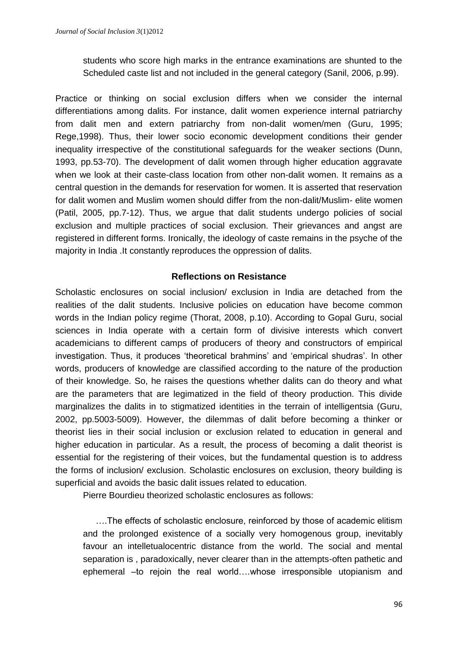students who score high marks in the entrance examinations are shunted to the Scheduled caste list and not included in the general category (Sanil, 2006, p.99).

Practice or thinking on social exclusion differs when we consider the internal differentiations among dalits. For instance, dalit women experience internal patriarchy from dalit men and extern patriarchy from non-dalit women/men (Guru, 1995; Rege,1998). Thus, their lower socio economic development conditions their gender inequality irrespective of the constitutional safeguards for the weaker sections (Dunn, 1993, pp.53-70). The development of dalit women through higher education aggravate when we look at their caste-class location from other non-dalit women. It remains as a central question in the demands for reservation for women. It is asserted that reservation for dalit women and Muslim women should differ from the non-dalit/Muslim- elite women (Patil, 2005, pp.7-12). Thus, we argue that dalit students undergo policies of social exclusion and multiple practices of social exclusion. Their grievances and angst are registered in different forms. Ironically, the ideology of caste remains in the psyche of the majority in India .It constantly reproduces the oppression of dalits.

# **Reflections on Resistance**

Scholastic enclosures on social inclusion/ exclusion in India are detached from the realities of the dalit students. Inclusive policies on education have become common words in the Indian policy regime (Thorat, 2008, p.10). According to Gopal Guru, social sciences in India operate with a certain form of divisive interests which convert academicians to different camps of producers of theory and constructors of empirical investigation. Thus, it produces 'theoretical brahmins' and 'empirical shudras'. In other words, producers of knowledge are classified according to the nature of the production of their knowledge. So, he raises the questions whether dalits can do theory and what are the parameters that are legimatized in the field of theory production. This divide marginalizes the dalits in to stigmatized identities in the terrain of intelligentsia (Guru, 2002, pp.5003-5009). However, the dilemmas of dalit before becoming a thinker or theorist lies in their social inclusion or exclusion related to education in general and higher education in particular. As a result, the process of becoming a dalit theorist is essential for the registering of their voices, but the fundamental question is to address the forms of inclusion/ exclusion. Scholastic enclosures on exclusion, theory building is superficial and avoids the basic dalit issues related to education.

Pierre Bourdieu theorized scholastic enclosures as follows:

….The effects of scholastic enclosure, reinforced by those of academic elitism and the prolonged existence of a socially very homogenous group, inevitably favour an intelletualocentric distance from the world. The social and mental separation is , paradoxically, never clearer than in the attempts-often pathetic and ephemeral –to rejoin the real world….whose irresponsible utopianism and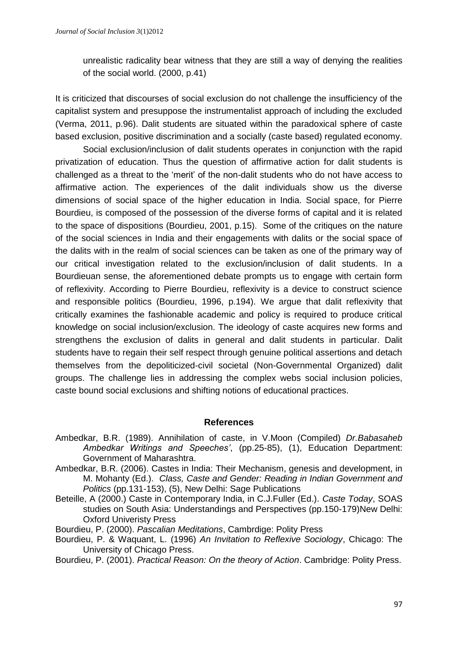unrealistic radicality bear witness that they are still a way of denying the realities of the social world. (2000, p.41)

It is criticized that discourses of social exclusion do not challenge the insufficiency of the capitalist system and presuppose the instrumentalist approach of including the excluded (Verma, 2011, p.96). Dalit students are situated within the paradoxical sphere of caste based exclusion, positive discrimination and a socially (caste based) regulated economy.

Social exclusion/inclusion of dalit students operates in conjunction with the rapid privatization of education. Thus the question of affirmative action for dalit students is challenged as a threat to the 'merit' of the non-dalit students who do not have access to affirmative action. The experiences of the dalit individuals show us the diverse dimensions of social space of the higher education in India. Social space, for Pierre Bourdieu, is composed of the possession of the diverse forms of capital and it is related to the space of dispositions (Bourdieu, 2001, p.15). Some of the critiques on the nature of the social sciences in India and their engagements with dalits or the social space of the dalits with in the realm of social sciences can be taken as one of the primary way of our critical investigation related to the exclusion/inclusion of dalit students. In a Bourdieuan sense, the aforementioned debate prompts us to engage with certain form of reflexivity. According to Pierre Bourdieu, reflexivity is a device to construct science and responsible politics (Bourdieu, 1996, p.194). We argue that dalit reflexivity that critically examines the fashionable academic and policy is required to produce critical knowledge on social inclusion/exclusion. The ideology of caste acquires new forms and strengthens the exclusion of dalits in general and dalit students in particular. Dalit students have to regain their self respect through genuine political assertions and detach themselves from the depoliticized-civil societal (Non-Governmental Organized) dalit groups. The challenge lies in addressing the complex webs social inclusion policies, caste bound social exclusions and shifting notions of educational practices.

#### **References**

- Ambedkar, B.R. (1989). Annihilation of caste, in V.Moon (Compiled) *Dr.Babasaheb Ambedkar Writings and Speeches'*, (pp.25-85), (1), Education Department: Government of Maharashtra.
- Ambedkar, B.R. (2006). Castes in India: Their Mechanism, genesis and development, in M. Mohanty (Ed.). *Class, Caste and Gender: Reading in Indian Government and Politics* (pp.131-153), (5), New Delhi: Sage Publications
- Beteille, A (2000.) Caste in Contemporary India, in C.J.Fuller (Ed.). *Caste Today*, SOAS studies on South Asia: Understandings and Perspectives (pp.150-179)New Delhi: Oxford Univeristy Press
- Bourdieu, P. (2000). *Pascalian Meditations*, Cambrdige: Polity Press
- Bourdieu, P. & Waquant, L. (1996) *An Invitation to Reflexive Sociology*, Chicago: The University of Chicago Press.
- Bourdieu, P. (2001). *Practical Reason: On the theory of Action*. Cambridge: Polity Press.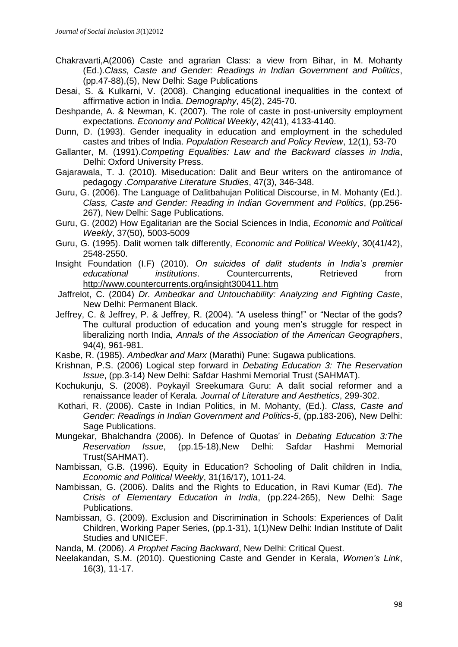- Chakravarti,A(2006) Caste and agrarian Class: a view from Bihar, in M. Mohanty (Ed.).*Class, Caste and Gender: Readings in Indian Government and Politics*, (pp.47-88),(5), New Delhi: Sage Publications
- Desai, S. & Kulkarni, V. (2008). Changing educational inequalities in the context of affirmative action in India. *Demography*, 45(2), 245-70.
- Deshpande, A. & Newman, K. (2007). The role of caste in post-university employment expectations. *Economy and Political Weekly*, 42(41), 4133-4140.
- Dunn, D. (1993). Gender inequality in education and employment in the scheduled castes and tribes of India. *Population Research and Policy Review*, 12(1), 53-70
- Gallanter, M. (1991).*Competing Equalities: Law and the Backward classes in India*, Delhi: Oxford University Press.
- Gajarawala, T. J. (2010). Miseducation: Dalit and Beur writers on the antiromance of pedagogy .*Comparative Literature Studies*, 47(3), 346-348.
- Guru, G. (2006). The Language of Dalitbahujan Political Discourse, in M. Mohanty (Ed.). *Class, Caste and Gender: Reading in Indian Government and Politics*, (pp.256- 267), New Delhi: Sage Publications.
- Guru, G. (2002) How Egalitarian are the Social Sciences in India, *Economic and Political Weekly*, 37(50), 5003-5009
- Guru, G. (1995). Dalit women talk differently, *Economic and Political Weekly*, 30(41/42), 2548-2550.
- Insight Foundation (I.F) (2010). *On suicides of dalit students in India's premier educational institutions*. Countercurrents, Retrieved from <http://www.countercurrents.org/insight300411.htm>
- Jaffrelot, C. (2004) *Dr. Ambedkar and Untouchability: Analyzing and Fighting Caste*, New Delhi: Permanent Black.
- Jeffrey, C. & Jeffrey, P. & Jeffrey, R. (2004). "A useless thing!" or "Nectar of the gods? The cultural production of education and young men's struggle for respect in liberalizing north India, *Annals of the Association of the American Geographers*, 94(4), 961-981.
- Kasbe, R. (1985). *Ambedkar and Marx* (Marathi) Pune: Sugawa publications.
- Krishnan, P.S. (2006) Logical step forward in *Debating Education 3: The Reservation Issue*, (pp.3-14) New Delhi: Safdar Hashmi Memorial Trust (SAHMAT).
- Kochukunju, S. (2008). Poykayil Sreekumara Guru: A dalit social reformer and a renaissance leader of Kerala. *Journal of Literature and Aesthetics*, 299-302.
- Kothari, R. (2006). Caste in Indian Politics, in M. Mohanty, (Ed.). *Class, Caste and Gender: Readings in Indian Government and Politics-5*, (pp.183-206), New Delhi: Sage Publications.
- Mungekar, Bhalchandra (2006). In Defence of Quotas' in *Debating Education 3:The Reservation Issue*, (pp.15-18),New Delhi: Safdar Hashmi Memorial Trust(SAHMAT).
- Nambissan, G.B. (1996). Equity in Education? Schooling of Dalit children in India, *Economic and Political Weekly*, 31(16/17), 1011-24.
- Nambissan, G. (2006). Dalits and the Rights to Education, in Ravi Kumar (Ed). *The Crisis of Elementary Education in India*, (pp.224-265), New Delhi: Sage Publications.
- Nambissan, G. (2009). Exclusion and Discrimination in Schools: Experiences of Dalit Children, Working Paper Series, (pp.1-31), 1(1)New Delhi: Indian Institute of Dalit Studies and UNICEF.
- Nanda, M. (2006). *A Prophet Facing Backward*, New Delhi: Critical Quest.
- Neelakandan, S.M. (2010). Questioning Caste and Gender in Kerala, *Women's Link*, 16(3), 11-17.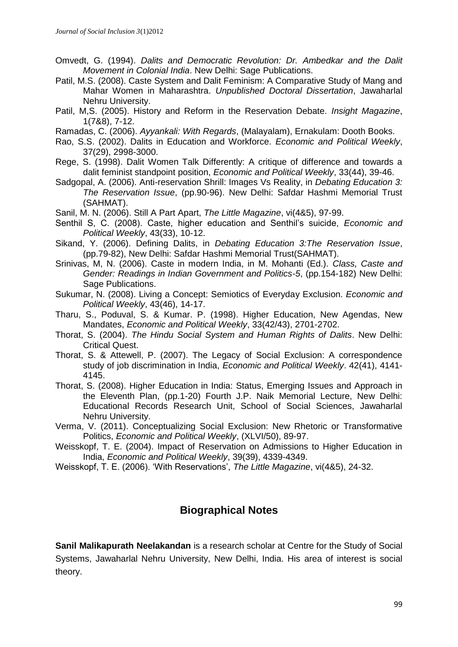- Omvedt, G. (1994). *Dalits and Democratic Revolution: Dr. Ambedkar and the Dalit Movement in Colonial India*. New Delhi: Sage Publications.
- Patil, M.S. (2008). Caste System and Dalit Feminism: A Comparative Study of Mang and Mahar Women in Maharashtra. *Unpublished Doctoral Dissertation*, Jawaharlal Nehru University.
- Patil, M,S. (2005). History and Reform in the Reservation Debate. *Insight Magazine*, 1(7&8), 7-12.
- Ramadas, C. (2006). *Ayyankali: With Regards*, (Malayalam), Ernakulam: Dooth Books.
- Rao, S.S. (2002). Dalits in Education and Workforce. *Economic and Political Weekly*, 37(29), 2998-3000.
- Rege, S. (1998). Dalit Women Talk Differently: A critique of difference and towards a dalit feminist standpoint position, *Economic and Political Weekly*, 33(44), 39-46.
- Sadgopal, A. (2006). Anti-reservation Shrill: Images Vs Reality, in *Debating Education 3: The Reservation Issue*, (pp.90-96). New Delhi: Safdar Hashmi Memorial Trust (SAHMAT).
- Sanil, M. N. (2006). Still A Part Apart, *The Little Magazine*, vi(4&5), 97-99.
- Senthil S, C. (2008). Caste, higher education and Senthil's suicide, *Economic and Political Weekly*, 43(33), 10-12.
- Sikand, Y. (2006). Defining Dalits, in *Debating Education 3:The Reservation Issue*, (pp.79-82), New Delhi: Safdar Hashmi Memorial Trust(SAHMAT).
- Srinivas, M, N. (2006). Caste in modern India, in M. Mohanti (Ed.). *Class, Caste and Gender: Readings in Indian Government and Politics-5*, (pp.154-182) New Delhi: Sage Publications.
- Sukumar, N. (2008). Living a Concept: Semiotics of Everyday Exclusion. *Economic and Political Weekly*, 43(46), 14-17.
- Tharu, S., Poduval, S. & Kumar. P. (1998). Higher Education, New Agendas, New Mandates, *Economic and Political Weekly*, 33(42/43), 2701-2702.
- Thorat, S. (2004). *The Hindu Social System and Human Rights of Dalits*. New Delhi: Critical Quest.
- Thorat, S. & Attewell, P. (2007). The Legacy of Social Exclusion: A correspondence study of job discrimination in India, *Economic and Political Weekly*. 42(41), 4141- 4145.
- Thorat, S. (2008). Higher Education in India: Status, Emerging Issues and Approach in the Eleventh Plan, (pp.1-20) Fourth J.P. Naik Memorial Lecture, New Delhi: Educational Records Research Unit, School of Social Sciences, Jawaharlal Nehru University.
- Verma, V. (2011). Conceptualizing Social Exclusion: New Rhetoric or Transformative Politics, *Economic and Political Weekly*, (XLVI/50), 89-97.
- Weisskopf, T. E. (2004). Impact of Reservation on Admissions to Higher Education in India, *Economic and Political Weekly*, 39(39), 4339-4349.
- Weisskopf, T. E. (2006). 'With Reservations', *The Little Magazine*, vi(4&5), 24-32.

# **Biographical Notes**

**Sanil Malikapurath Neelakandan** is a research scholar at Centre for the Study of Social Systems, Jawaharlal Nehru University, New Delhi, India. His area of interest is social theory.